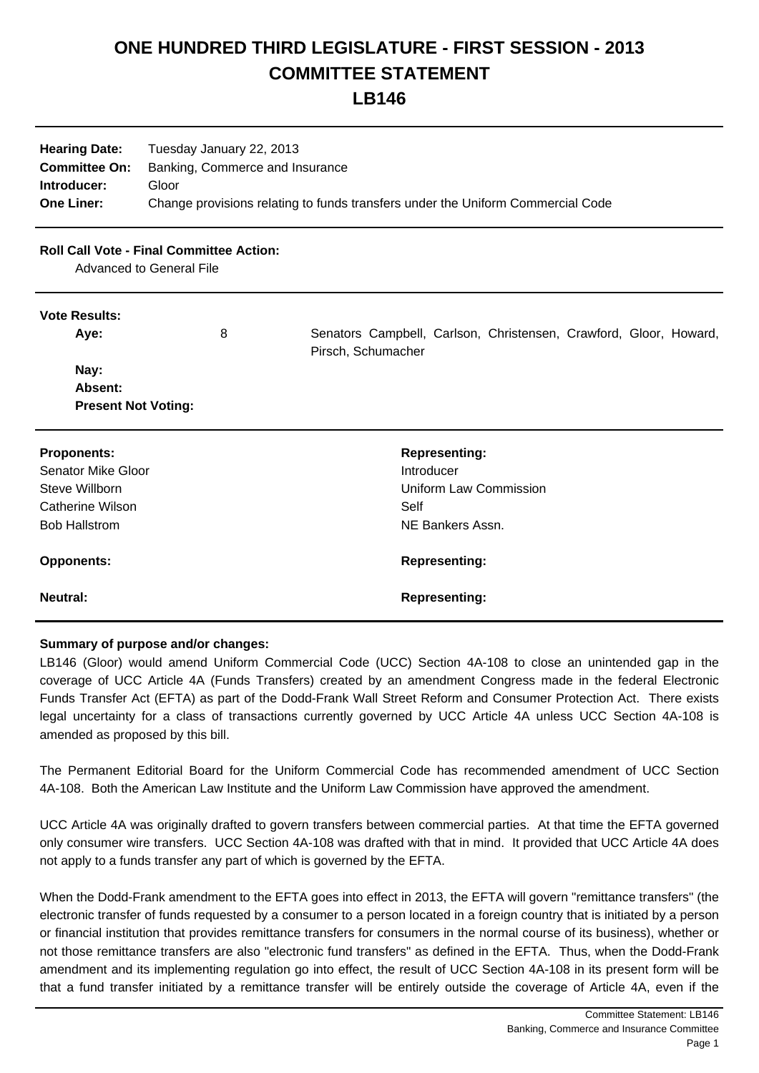## **ONE HUNDRED THIRD LEGISLATURE - FIRST SESSION - 2013 COMMITTEE STATEMENT**

### **LB146**

| <b>Hearing Date:</b><br><b>Committee On:</b> | Tuesday January 22, 2013<br>Banking, Commerce and Insurance                     |
|----------------------------------------------|---------------------------------------------------------------------------------|
| Introducer:                                  | Gloor                                                                           |
| <b>One Liner:</b>                            | Change provisions relating to funds transfers under the Uniform Commercial Code |

#### **Roll Call Vote - Final Committee Action:**

Advanced to General File

#### **Vote Results:**

| Aye:                       | 8 | Senators Campbell, Carlson, Christensen, Crawford, Gloor, Howard,<br>Pirsch, Schumacher |
|----------------------------|---|-----------------------------------------------------------------------------------------|
| Nay:                       |   |                                                                                         |
| Absent:                    |   |                                                                                         |
| <b>Present Not Voting:</b> |   |                                                                                         |
| <b>Proponents:</b>         |   | <b>Representing:</b>                                                                    |
| Senator Mike Gloor         |   | Introducer                                                                              |
| Steve Willborn             |   | Uniform Law Commission                                                                  |
| Catherine Wilson           |   | Self                                                                                    |
| <b>Bob Hallstrom</b>       |   | NE Bankers Assn.                                                                        |

# **Opponents: Representing: Neutral: Representing:**

#### **Summary of purpose and/or changes:**

LB146 (Gloor) would amend Uniform Commercial Code (UCC) Section 4A-108 to close an unintended gap in the coverage of UCC Article 4A (Funds Transfers) created by an amendment Congress made in the federal Electronic Funds Transfer Act (EFTA) as part of the Dodd-Frank Wall Street Reform and Consumer Protection Act. There exists legal uncertainty for a class of transactions currently governed by UCC Article 4A unless UCC Section 4A-108 is amended as proposed by this bill.

The Permanent Editorial Board for the Uniform Commercial Code has recommended amendment of UCC Section 4A-108. Both the American Law Institute and the Uniform Law Commission have approved the amendment.

UCC Article 4A was originally drafted to govern transfers between commercial parties. At that time the EFTA governed only consumer wire transfers. UCC Section 4A-108 was drafted with that in mind. It provided that UCC Article 4A does not apply to a funds transfer any part of which is governed by the EFTA.

When the Dodd-Frank amendment to the EFTA goes into effect in 2013, the EFTA will govern "remittance transfers" (the electronic transfer of funds requested by a consumer to a person located in a foreign country that is initiated by a person or financial institution that provides remittance transfers for consumers in the normal course of its business), whether or not those remittance transfers are also "electronic fund transfers" as defined in the EFTA. Thus, when the Dodd-Frank amendment and its implementing regulation go into effect, the result of UCC Section 4A-108 in its present form will be that a fund transfer initiated by a remittance transfer will be entirely outside the coverage of Article 4A, even if the